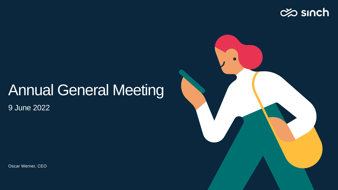### **Annual General Meeting** 9 June 2022

Oscar Werner, CEO





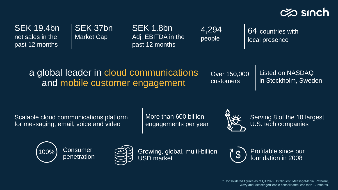SEK 19.4bn net sales in the past 12 months

> **Consumer** penetration



64 countries with local presence

SEK 37bn Market Cap

4,294 people

More than 600 billion engagements per year



Listed on NASDAQ in Stockholm, Sweden

SEK 1.8bn Adj. EBITDA in the past 12 months

> Serving 8 of the 10 largest U.S. tech companies

### a global leader in cloud communications and mobile customer engagement

USD market



Scalable cloud communications platform for messaging, email, voice and video



Growing, global, multi-billion 100% \$



\* Consolidated figures as of Q1 2022. Inteliquent, MessageMedia, Pathwire, Wavy and MessengerPeople consolidated less than 12 months.



Over 150,000 customers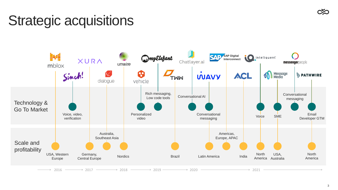### Strategic acquisitions





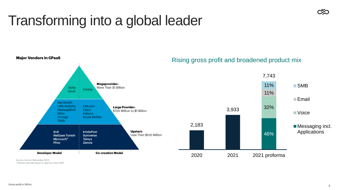4

## Transforming into a global leader



Source: Gartner (November 2021)

\* Gartner estimate based on launch in April 2021





Rising gross profit and broadened product mix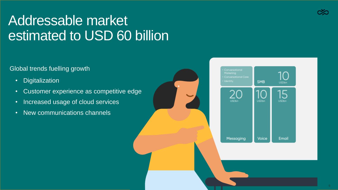### Addressable market estimated to USD 60 billion

Global trends fuelling growth

- Digitalization
- Customer experience as competitive edge
- Increased usage of cloud services
- New communications channels



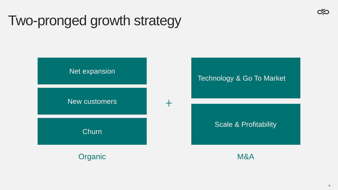### Two-pronged growth strategy



### Scale & Profitability



### Technology & Go To Market

Churn

Organic M&A



 $\pm$ 

#### Net expansion

#### New customers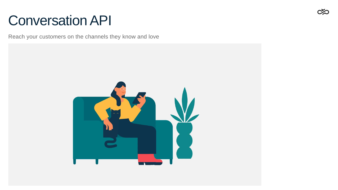### Conversation API

Reach your customers on the channels they know and love



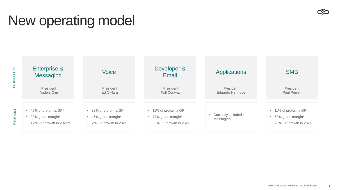8

### New operating model



| eveloper &<br><b>Email</b><br><b>President</b>             | <b>Applications</b><br><b>President</b>   | <b>SMB</b><br>President                                                                                 |
|------------------------------------------------------------|-------------------------------------------|---------------------------------------------------------------------------------------------------------|
| <b>Will Conway</b>                                         | <b>Eduardo Henrique</b>                   | <b>Paul Perrett</b>                                                                                     |
| 6 of proforma GP<br>% gross margin*<br>% GP growth in 2021 | Currently included in<br><b>Messaging</b> | 11% of proforma GP<br>$\bullet$<br>62% gross margin*<br>$\bullet$<br>28% GP growth in 2021<br>$\bullet$ |

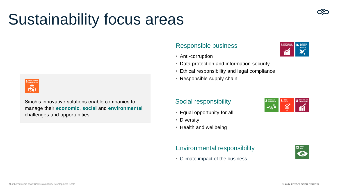- Equal opportunity for all
- Diversity
- Health and wellbeing

#### Responsible business

- Anti-corruption
- Data protection and information security
- Ethical responsibility and legal compliance
- Responsible supply chain

#### Social responsibility

#### Environmental responsibility

Climate impact of the business







Sinch's innovative solutions enable companies to manage their **economic**, **social** and **environmental** challenges and opportunities

## Sustainability focus areas



**13 GLIMATE** 

ENR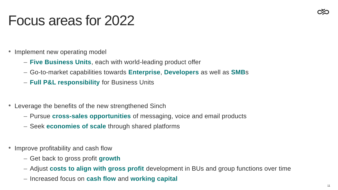### Focus areas for 2022

- Implement new operating model
	- **Five Business Units**, each with world-leading product offer
	- Go-to-market capabilities towards **Enterprise**, **Developers** as well as **SMB**s
	- **Full P&L responsibility** for Business Units
- Leverage the benefits of the new strengthened Sinch
	- Pursue **cross-sales opportunities** of messaging, voice and email products
	- Seek **economies of scale** through shared platforms
- Improve profitability and cash flow
	- Get back to gross profit **growth**
	- Adjust **costs to align with gross profit** development in BUs and group functions over time
	- Increased focus on **cash flow** and **working capital**



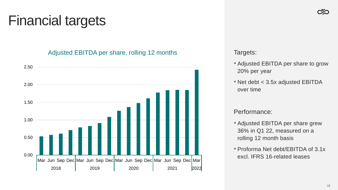



### Financial targets

#### Targets:

- Adjusted EBITDA per share to grow 20% per year
- Net debt < 3.5x adjusted EBITDA over time

- Adjusted EBITDA per share grew 36% in Q1 22, measured on a rolling 12 month basis
- Proforma Net debt/EBITDA of 3.1x excl. IFRS 16-related leases









#### Performance:

### Adjusted EBITDA per share, rolling 12 months